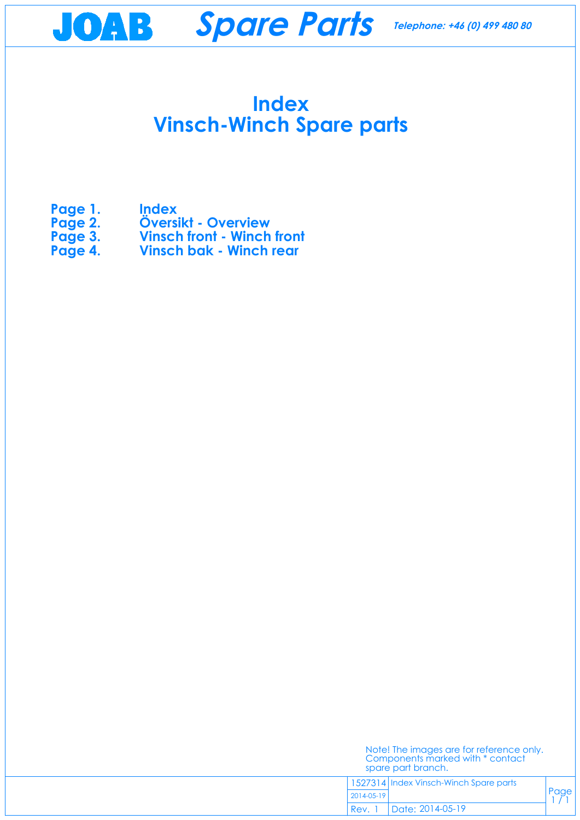## **Index Vinsch-Winch Spare parts**

- **Page 1. Index**
- **Page 2.** Översikt Overview<br>Page 3. Vinsch front Winch
- **Page 3.** Vinsch front Winch front<br>Page 4. Vinsch bak Winch rear
- **Vinsch bak Winch rear**

Page  $1/1$ 



| Note! The images are for reference only. |  |
|------------------------------------------|--|
| Components marked with * contact         |  |
| spare part branch.                       |  |
|                                          |  |

1527314 Index Vinsch-Winch Spare parts

2014-05-19

Date: 2014-05-19 Rev. 1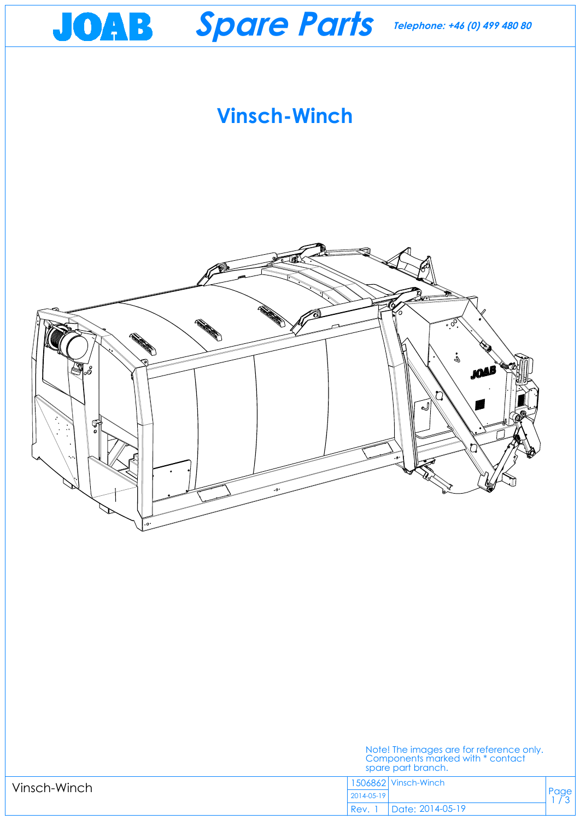<span id="page-1-0"></span>

Note! The images are for reference only.

|              |            | Components marked with * contact<br>spare part branch. |  |
|--------------|------------|--------------------------------------------------------|--|
| Vinsch-Winch |            | <sup>1</sup> 1506862 Vinsch-Winch                      |  |
|              | 2014-05-19 |                                                        |  |
|              | 'Rev.      | Date: 2014-05-19                                       |  |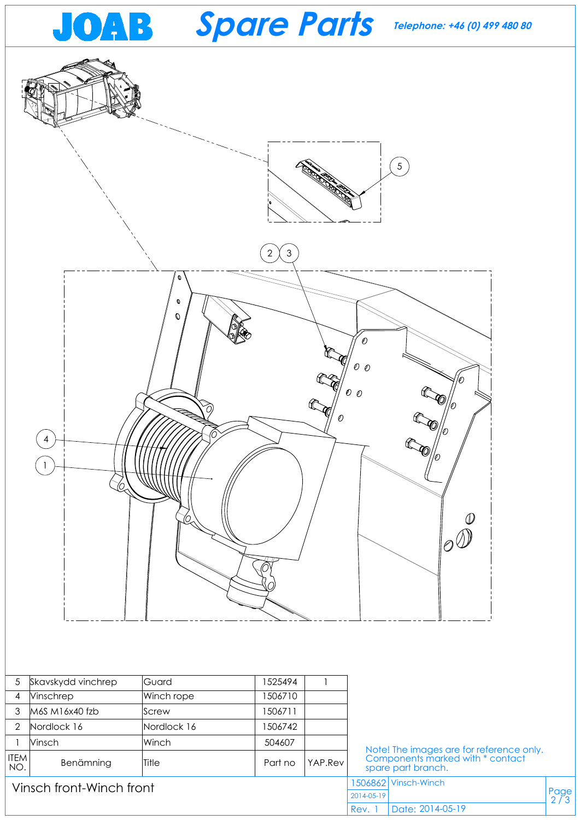<span id="page-2-0"></span>

| 5                        | Skavskydd vinchrep | Guard        | 1525494 |            |                                                                                                    |               |  |
|--------------------------|--------------------|--------------|---------|------------|----------------------------------------------------------------------------------------------------|---------------|--|
| 4                        | <b>Ninschrep</b>   | Winch rope   | 1506710 |            |                                                                                                    |               |  |
| 3                        | M6S M16x40 fzb     | Screw        | 1506711 |            |                                                                                                    |               |  |
| $\overline{2}$           | Nordlock 16        | Nordlock 16  | 1506742 |            |                                                                                                    |               |  |
|                          | Vinsch             | Winch        | 504607  |            | Note! The images are for reference only.<br>Components marked with * contact<br>spare part branch. |               |  |
| <b>ITEM</b><br>NO.       | Benämning          | <b>Title</b> | Part no | YAP.Rev    |                                                                                                    |               |  |
| Vinsch front-Winch front |                    |              |         | 1506862    | Vinsch-Winch                                                                                       |               |  |
|                          |                    |              |         | 2014-05-19 |                                                                                                    | Page<br>$2/3$ |  |
|                          |                    |              |         | Rev.       | Date: 2014-05-19                                                                                   |               |  |